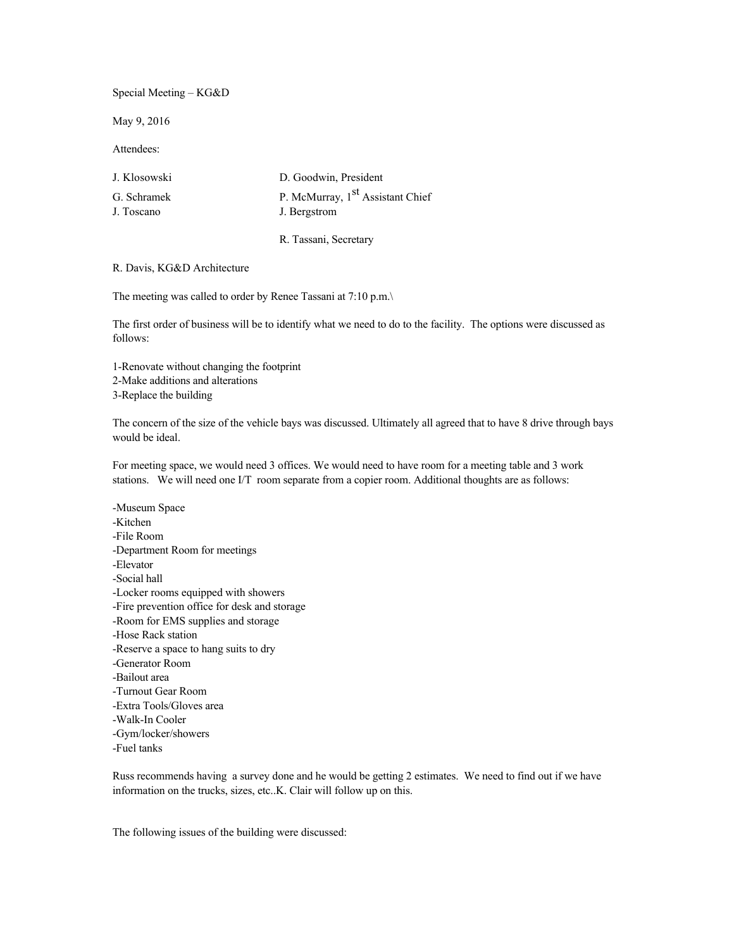Special Meeting – KG&D

May 9, 2016

Attendees:

| J. Klosowski | D. Goodwin, President                        |
|--------------|----------------------------------------------|
| G. Schramek  | P. McMurray, 1 <sup>st</sup> Assistant Chief |
| J. Toscano   | J. Bergstrom                                 |

R. Tassani, Secretary

R. Davis, KG&D Architecture

The meeting was called to order by Renee Tassani at 7:10 p.m.\

The first order of business will be to identify what we need to do to the facility. The options were discussed as follows:

1-Renovate without changing the footprint 2-Make additions and alterations 3-Replace the building

The concern of the size of the vehicle bays was discussed. Ultimately all agreed that to have 8 drive through bays would be ideal.

For meeting space, we would need 3 offices. We would need to have room for a meeting table and 3 work stations. We will need one I/T room separate from a copier room. Additional thoughts are as follows:

-Museum Space -Kitchen -File Room -Department Room for meetings -Elevator -Social hall -Locker rooms equipped with showers -Fire prevention office for desk and storage -Room for EMS supplies and storage -Hose Rack station -Reserve a space to hang suits to dry -Generator Room -Bailout area -Turnout Gear Room -Extra Tools/Gloves area -Walk-In Cooler -Gym/locker/showers -Fuel tanks

Russ recommends having a survey done and he would be getting 2 estimates. We need to find out if we have information on the trucks, sizes, etc..K. Clair will follow up on this.

The following issues of the building were discussed: